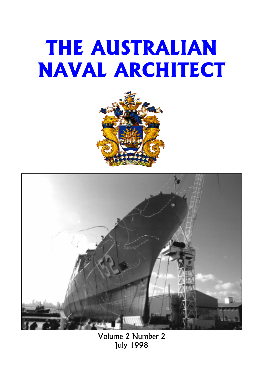# THE AUSTRALIAN NAVAL ARCHITECT





Volume 2 Number 2 July 1998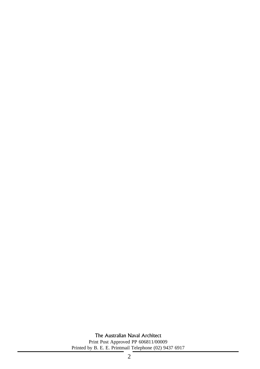The Australian Naval Architect Print Post Approved PP 606811/00009 Printed by B. E. E. Printmail Telephone (02) 9437 6917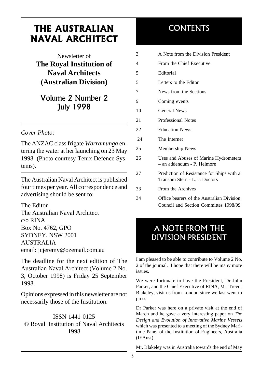# THE AUSTRALIAN NAVAL ARCHITECT

Newsletter of **The Royal Institution of Naval Architects (Australian Division)**

# Volume 2 Number 2 July 1998

### *Cover Photo:*

The ANZAC class frigate *Warramunga* entering the water at her launching on 23 May 1998 (Photo courtesy Tenix Defence Systems).

The Australian Naval Architect is published four times per year. All correspondence and advertising should be sent to:

The Editor The Australian Naval Architect c/o RINA Box No. 4762, GPO SYDNEY, NSW 2001 AUSTRALIA email: jcjeremy@ozemail.com.au

The deadline for the next edition of The Australian Naval Architect (Volume 2 No. 3, October 1998) is Friday 25 September 1998.

Opinions expressed in this newsletter are not necessarily those of the Institution.

ISSN 1441-0125 © Royal Institution of Naval Architects 1998

# CONTENTS

| 3              | A Note from the Division President                                                 |
|----------------|------------------------------------------------------------------------------------|
| $\overline{4}$ | From the Chief Executive                                                           |
| 5              | Editorial                                                                          |
| 5              | Letters to the Editor                                                              |
| 7              | News from the Sections                                                             |
| 9              | Coming events                                                                      |
| 10             | <b>General News</b>                                                                |
| 21             | Professional Notes                                                                 |
| 22             | <b>Education News</b>                                                              |
| 24             | The Internet                                                                       |
| 25             | Membership News                                                                    |
| 26             | Uses and Abuses of Marine Hydrometers<br>- an addendum - P. Helmore                |
| 27             | Prediction of Resistance for Ships with a<br>Transom Stern - L. J. Doctors         |
| 33             | From the Archives                                                                  |
| 34             | Office bearers of the Australian Division<br>Council and Section Committes 1998/99 |

# A NOTE FROM THE DIVISION PRESIDENT

I am pleased to be able to contribute to Volume 2 No. 2 of the journal. I hope that there will be many more issues.

We were fortunate to have the President, Dr John Parker, and the Chief Executive of RINA, Mr. Trevor Blakeley, visit us from London since we last went to press.

Dr Parker was here on a private visit at the end of March and he gave a very interesting paper on *The Design and Evolution of Innovative Marine Vessels* which was presented to a meeting of the Sydney Maritime Panel of the Institution of Engineers, Australia (IEAust).

Mr. Blakeley was in Australia towards the end of May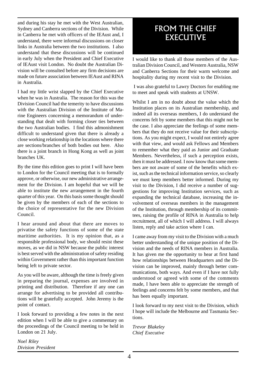and during his stay he met with the West Australian, Sydney and Canberra sections of the Division. While in Canberra he met with officers of the IEAust and, I understand, there were informal discussions on closer links in Australia between the two institutions. I also understand that these discussions will be continued in early July when the President and Chief Executive of IEAust visit London. No doubt the Australian Division will be consulted before any firm decisions are made on future association between IEAust and RINA in Australia.

I had my little wrist slapped by the Chief Executive when he was in Australia. The reason for this was the Division Council had the temerity to have discussions with the Australian Division of the Institute of Marine Engineers concerning a memorandum of understanding that dealt with forming closer ties between the two Australian bodies. I find this admonishment difficult to understand given that there is already a close working relationship in the locations where there are sections/branches of both bodies out here. Also there is a joint branch in Hong Kong as well as joint branches UK.

By the time this edition goes to print I will have been to London for the Council meeting that is to formally approve, or otherwise, our new administrative arrangement for the Division. I am hopeful that we will be able to institute the new arrangement in the fourth quarter of this year. On this basis some thought should be given by the members of each of the sections to the choice of representative for the new Division Council.

I hear around and about that there are moves to privatise the safety functions of some of the state maritime authorities. It is my opinion that, as a responsible professional body, we should resist these moves, as we did in NSW because the public interest is best served with the administration of safety residing within Government rather than this important function being left to private sector.

As you will be aware, although the time is freely given in preparing the journal, expenses are involved in printing and distribution. Therefore if any one can arrange for advertising to be provided all contributions will be gratefully accepted. John Jeremy is the point of contact.

I look forward to providing a few notes in the next edition when I will be able to give a commentary on the proceedings of the Council meeting to be held in London on 21 July.

*Noel Riley Division President*

# FROM THE CHIEF EXECUTIVE

I would like to thank all those members of the Australian Division Council, and Western Australia, NSW and Canberra Sections for their warm welcome and hospitality during my recent visit to the Division.

 I was also grateful to Lawry Doctors for enabling me to meet and speak with students at UNSW.

Whilst I am in no doubt about the value which the Institution places on its Australian membership, and indeed all its overseas members, I do understand the concerns felt by some members that this might not be the case. I also appreciate the feelings of some members that they do not receive value for their subscriptions. As you might expect, I would not entirely agree with that view, and would ask Fellows and Members to remember what they paid as Junior and Graduate Members. Nevertheless, if such a perception exists, then it must be addressed. I now know that some members are not aware of some of the benefits which exist, such as the technical information service, so clearly we must keep members better informed. During my visit to the Division, I did receive a number of suggestions for improving Institution services, such as expanding the technical database, increasing the involvement of overseas members in the management of the Institution, through membership of its committees, raising the profile of RINA in Australia to help recruitment, all of which I will address. I will always listen, reply and take action where I can.

I came away from my visit to the Division with a much better understanding of the unique position of the Division and the needs of RINA members in Australia. It has given me the opportunity to hear at first hand how relationships between Headquarters and the Division can be improved, mainly through better communications, both ways. And even if I have not fully understood or agreed with some of the comments made, I have been able to appreciate the strength of feelings and concerns felt by some members, and that has been equally important.

I look forward to my next visit to the Division, which I hope will include the Melbourne and Tasmania Sections.

*Trevor Blakeley Chief Executive*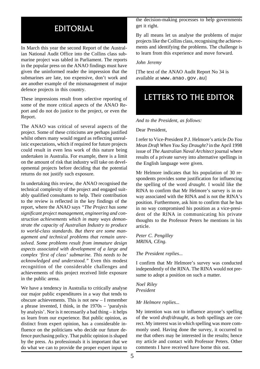# EDITORIAL

In March this year the second Report of the Australian National Audit Office into the Collins class submarine project was tabled in Parliament. The reports in the popular press on the ANAO findings must have given the uninformed reader the impression that the submarines are late, too expensive, don't work and are another example of the mismanagement of major defence projects in this country.

These impressions result from selective reporting of some of the more critical aspects of the ANAO Report and do not do justice to the project, or even the Report.

The ANAO was critical of several aspects of the project. Some of these criticisms are perhaps justified whilst others many would regard as reflecting unrealistic expectations, which if required for future projects could result in even less work of this nature being undertaken in Australia. For example, there is a limit on the amount of risk that industry will take on developmental projects before deciding that the potential returns do not justify such exposure.

In undertaking this review, the ANAO recognised the technical complexity of the project and engaged suitably qualified consultants to help. Their contribution to the review is reflected in the key findings of the report, where the ANAO says *"The Project has some significant project management, engineering and construction achievements which in many ways demonstrate the capacity of Australian Industry to produce to world-class standards. But there are some management and technical problems that remain unresolved. Some problems result from immature design aspects associated with development of a large and complex 'first of class' submarine. This needs to be acknowledged and understood."* Even this modest recognition of the considerable challenges and achievements of this project received little exposure in the public arena.

We have a tendency in Australia to critically analyse our major public expenditures in a way that tends to obscure achievements. This is not new – I remember a phrase invented, I think, in the 1970s – 'paralysis by analysis'. Nor is it necessarily a bad thing – it helps us learn from our experience. But public opinion, as distinct from expert opinion, has a considerable influence on the politicians who decide our future defence purchasing policy. That public opinion is shaped by the press. As professionals it is important that we do what we can to provide the proper expert input to

the decision-making processes to help governments get it right.

By all means let us analyse the problems of major projects like the Collins class, recognising the achievements and identifying the problems. The challenge is to learn from this experience and move forward.

#### *John Jeremy*

[The text of the ANAO Audit Report No 34 is available at www.anao.gov.au]

# LETTERS TO THE EDITOR

*And to the President, as follows:*

#### Dear President,

I refer to Vice-President P.J. Helmore's article *Do You Mean Draft When You Say Draught?* in the April 1998 issue of *The Australian Naval Architect* journal where results of a private survey into alternative spellings in the English language were given.

Mr Helmore indicates that his population of 30 respondents provides some justification for influencing the spelling of the word *draught.* I would like the RINA to confirm that Mr Helmore's survey is in no way associated with the RINA and is not the RINA's position. Furthermore, ask him to confirm that he has in no way compromised his position as a vice-president of the RINA in communicating his private thoughts to the Professor Peters he mentions in his article.

*Peter C. Pengilley MRINA, CEng.*

*The President replies...*

I confirm that Mr Helmore's survey was conducted independently of the RINA. The RINA would not presume to adopt a position on such a matter.

*Noel Riley President*

#### *Mr Helmore replies...*

My intention was not to influence anyone's spelling of the word *draft/draught*, as both spellings are correct. My interest was in which spelling was more commonly used. Having done the survey, it occurred to me that others may be interested in the results; hence my article and contact with Professor Peters. Other comments I have received have borne this out.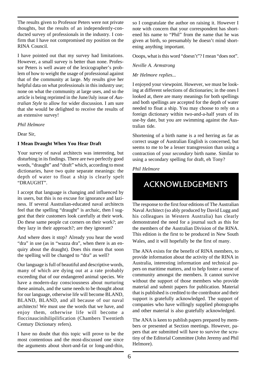The results given to Professor Peters were not private thoughts, but the results of an independently-conducted survey of professionals in the industry. I confirm that I have not compromised my position on the RINA Council.

I have pointed out that my survey had limitations. However, a small survey is better than none. Professor Peters is well aware of the lexicographer's problem of how to weight the usage of professional against that of the community at large. My results give her helpful data on what professionals in this industry use; none on what the community at large uses, and so the article is being reprinted in the June/July issue of *Australian Style* to allow for wider discussion. I am sure that she would be delighted to receive the results of an extensive survey!

*Phil Helmore*

Dear Sir,

#### **I Mean Draught When You Hear Draft**

Your survey of naval architects was interesting, but disturbing in its findings. There are two perfectly good words, "draught" and "draft" which, according to most dictionaries, have two quite separate meanings: the depth of water to float a ship is clearly spelt "DRAUGHT".

I accept that language is changing and influenced by its users, but this is no excuse for ignorance and laziness. If several Australian-educated naval architects feel that the spelling "draught" is archaic, then I suggest that their customers look carefully at their work. Do these same people cut corners on their work?; are they lazy in their approach?; are they ignorant?

And where does it stop? Already you hear the word "dra" in use (as in "wazza dra", when there is an enquiry about the draught). Does this mean that soon the spelling will be changed to "dra" as well?

Our language is full of beautiful and descriptive words, many of which are dying out at a rate probably exceeding that of our endangered animal species. We have a modern-day consciousness about nurturing these animals, and the same needs to be thought about for our language, otherwise life will become BLAND, BLAND, BLAND, and all because of our naval architects! We must use the words that we have, and enjoy them, otherwise life will become a floccinaucinihilipilification (Chambers Twentieth Century Dictionary refers).

I have no doubt that this topic will prove to be the most contentious and the most-discussed one since the arguments about short-and-fat or long-and-thin,

so I congratulate the author on raising it. However I note with concern that your correspondent has shortened his name to "Phil" from the name that he was given at birth, so presumably he doesn't mind shortening anything important.

Ooops, what is this word "doesn't"? I mean "does not".

#### *Neville A. Armstrong*

#### *Mr Helmore replies...*

I enjoyed your viewpoint. However, we must be looking at different selections of dictionaries; in the ones I looked at, there are many meanings for both spellings and both spellings are accepted for the depth of water needed to float a ship. You may choose to rely on a foreign dictionary within two-and-a-half years of its use-by date, but you are swimming against the Australian tide.

Shortening of a birth name is a red herring as far as correct usage of Australian English is concerned, but seems to me to be a lesser transgression than using a contraction of your *secondary* birth name. Similar to using a secondary spelling for draft, eh Tony?

*Phil Helmore*

# ACKNOWLEDGEMENTS

The response to the first four editions of The Australian Naval Architect (so ably produced by David Lugg and his colleagues in Western Australia) has clearly demonstrated the need for a journal such as this for the members of the Australian Division of the RINA. This edition is the first to be produced in New South Wales, and it will hopefully be the first of many.

The ANA exists for the benefit of RINA members, to provide information about the activity of the RINA in Australia, interesting information and technical papers on maritime matters, and to help foster a sense of community amongst the members. It cannot survive without the support of those members who provide material and submit papers for publication. Material that is published is credited to the contributor and their support is gratefully acknowledged. The support of companies who have willingly supplied photographs and other material is also gratefully acknowledged.

The ANA is keen to publish papers prepared by members or presented at Section meetings. However, papers that are submitted will have to survive the scrutiny of the Editorial Committee (John Jeremy and Phil Helmore).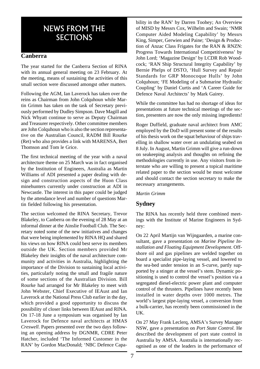# NEWS FROM THE **SECTIONS**

### **Canberra**

The year started for the Canberra Section of RINA with its annual general meeting on 23 February. At the meeting, means of sustaining the activities of this small section were discussed amongst other matters.

Following the AGM, Ian Laverock has taken over the reins as Chairman from John Colquhoun while Martin Grimm has taken on the task of Secretary previously performed by Dudley Simpson. Dave Magill and Nick Whyatt continue to serve as Deputy Chairman and Treasurer respectively. Other committee members are John Colquhoun who is also the section representative on the Australian Council, RADM Bill Rourke (Ret) who also provides a link with MARENSA, Bert Thomson and Tom le Grice.

The first technical meeting of the year with a naval architecture theme on 25 March was in fact organised by the Institution of Engineers, Australia as Martin Williams of ADI presented a paper dealing with design and construction aspects of the Huon Class minehunters currently under construction at ADI in Newcastle. The interest in this paper could be judged by the attendance level and number of questions Martin fielded following his presentation.

The section welcomed the RINA Secretary, Trevor Blakeley, to Canberra on the evening of 28 May at an informal dinner at the Ainslie Football Club. The Secretary noted some of the new initiatives and changes that were being implemented by RINA HQ and shared his views on how RINA could best serve its members outside the UK. Section members provided Mr Blakeley their insights of the naval architecture community and activities in Australia, highlighting the importance of the Division to sustaining local activities, particularly noting the small and fragile nature of some sections of the Australian Division. Bill Rourke had arranged for Mr Blakeley to meet with John Webster, Chief Executive of IEAust and Ian Laverock at the National Press Club earlier in the day, which provided a good opportunity to discuss the possibility of closer links between IEAust and RINA. On 17-18 June a symposium was organised by Ian Laverock for Defence naval architects at HMAS *Creswell*. Papers presented over the two days following an opening address by DGNMR, CDRE Peter Hatcher, included 'The Informed Customer in the RAN' by Gordon MacDonald; 'NBC Defence Capability in the RAN' by Darren Toohey; An Overview of MISD by Messrs Cox, Wilhelm and Swain; 'NMR Computer Aided Modeling Capability' by Messrs King, Simper, Gerwien and Paine; 'Design & Production of Anzac Class Frigates for the RAN & RNZN: Progress Towards International Competitiveness' by John Lord; 'Magazine Design' by LCDR Rob Woodcock; 'RAN Ship Structural Integrity Capability' by Bernie Phelps of DSTO, 'Hull Survey and Repair Standards for GRP Monocoque Hulls' by John Colquhoun; 'FE Modeling of a Submarine Hydraulic Coupling' by Daniel Curtis and 'A Career Guide for Defence Naval Architects' by Mark Gairey.

While the committee has had no shortage of ideas for presentations at future technical meetings of the section, presenters are now the only missing ingredients!

Roger Duffield, graduate naval architect from AMC employed by the DoD will present some of the results of his thesis work on the squat behaviour of ships travelling in shallow water over an undulating seabed on 8 July. In August, Martin Grimm will give a run-down on seakeeping analysis and thoughts on refining the methodologies currently in use. Any visitors from interstate who are willing to present a topical maritime related paper to the section would be most welcome and should contact the section secretary to make the necessary arrangements.

#### *Martin Grimm*

### **Sydney**

The RINA has recently held three combined meetings with the Institute of Marine Engineers in Sydney:

On 22 April Martijn van Wijngaarden, a marine consultant, gave a presentation on *Marine Pipeline Installation and Floating Equipment Development*. Offshore oil and gas pipelines are welded together on board a specialist pipe-laying vessel, and lowered to the sea-bed under tension in an S-curve, partly supported by a stinger at the vessel's stem. Dynamic positioning is used to control the vessel's position via a segregated diesel-electric power plant and computer control of the thrusters. Pipelines have recently been installed in water depths over 1000 metres. The world's largest pipe-laying vessel, a conversion from a bulk-carrier, has recently been commissioned in the UK.

On 27 May Frank Leclerq, AMSA's Survey Manager NSW, gave a presentation on *Port State Control.* He described the development of port state control in Australia by AMSA. Australia is internationally recognised as one of the leaders in the performance of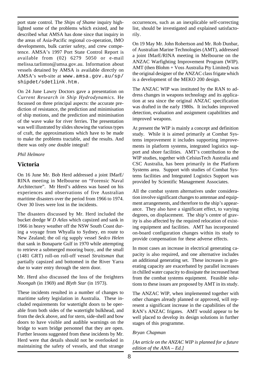port state control. The *Ships of Shame* inquiry highlighted some of the problems which existed, and he described what AMSA has done since that inquiry in the areas of Asia-Pacific regional co-operation, IMO developments, bulk carrier safety, and crew competence. AMSA's 1997 Port State Control Report is available from (02) 6279 5050 or e-mail melissa.tarlinton@amsa.gov.au. Information about vessels detained by AMSA is available directly on AMSA's web-site at www.amsa.gov.au/sp/ shipdet/sdetlink.htm.

On 24 June Lawry Doctors gave a presentation on *Current Research in Ship Hydrodynamics.* He focussed on three principal aspects: the accurate prediction of resistance, the prediction and minimisation of ship motions, and the prediction and minimisation of the wave wake for river ferries. The presentation was well illustrated by slides showing the various types of craft, the approximations which have to be made to make the problems tractable, and the results. And there was only *one* double integral!

#### *Phil Helmore*

### **Victoria**

On 16 June Mr. Bob Herd addressed a joint IMarE/ RINA meeting in Melbourne on "Forensic Naval Architecture". Mr Herd's address was based on his experiences and observations of five Australian maritime disasters over the period from 1966 to 1974. Over 30 lives were lost in the incidents.

The disasters discussed by Mr. Herd included the bucket dredge *W D Atlas* which capsized and sank in 1966 in heavy weather off the NSW South Coast during a voyage from Whyalla to Sydney, en route to New Zealand; the oil rig supply vessel *Sedco Helen* that sank in Bonaparte Gulf in 1970 while attempting to retrieve a submerged mooring buoy, and the small (1481 GRT) roll-on roll-off vessel *Straitsman* that partially capsized and bottomed in the River Yarra due to water entry through the stern door.

Mr. Herd also discussed the loss of the freighters *Noongah* (in 1969) and *Blyth Star* (in 1973).

These incidents resulted in a number of changes to maritime safety legislation in Australia. These included requirements for watertight doors to be operable from both sides of the watertight bulkhead, and from the deck above, and for stern, side-shell and bow doors to have visible and audible warnings on the bridge to warn bridge personnel that they are open. Further lessons suggested from these incidents by Mr. Herd were that details should not be overlooked in maintaining the safety of vessels, and that strange

occurrences, such as an inexplicable self-correcting list, should be investigated and explained satisfactorily.

On 19 May Mr. John Robertson and Mr. Rob Dunbar, of Australian Marine Technologies (AMT), addressed a joint IMarE/RINA meeting in Melbourne on the ANZAC Warfighting Improvement Program (WIP). AMT (then Blohm + Voss Australia Pty Limited) was the original designer of the ANZAC class frigate which is a development of the MEKO 200 design.

The ANZAC WIP was instituted by the RAN to address changes in weapons technology and its application at sea since the original ANZAC specification was drafted in the early 1980s. It includes improved detection, evaluation and assignment capabilities and improved weapons.

At present the WIP is mainly a concept and definition study. While it is aimed primarily at Combat Systems improvement it includes supporting improvements in platform systems, integrated logistics support and shore facilities. AMT's contribution to the WIP studies, together with CelsiusTech Australia and CSC Australia, has been primarily in the Platform Systems area. Support with studies of Combat Systems facilities and Integrated Logistics Support was provided by Scientific Management Associates.

All the combat system alternatives under consideration involve significant changes to antennae and equipment arrangements, and therefore to the ship's appearance. They also have a significant effect, to varying degrees, on displacement. The ship's centre of gravity is also affected by the required relocation of existing equipment and facilities. AMT has incorporated on-board configuration changes within its study to provide compensation for these adverse effects.

In most cases an increase in electrical generating capacity is also required, and one alternative includes an additional generating set. These increases in generating capacity are exacerbated by parallel increases in chilled water capacity to dissipate the increased heat from the combat systems equipment. Feasible solutions to these issues are proposed by AMT in its study.

The ANZAC WIP, when implemented together with other changes already planned or approved, will represent a significant increase in the capabilities of the RAN's ANZAC frigates. AMT would appear to be well placed to develop its design solutions in further stages of this programme.

#### *Bryan Chapman*

*[An article on the ANZAC WIP is planned for a future edition of the ANA – Ed.]*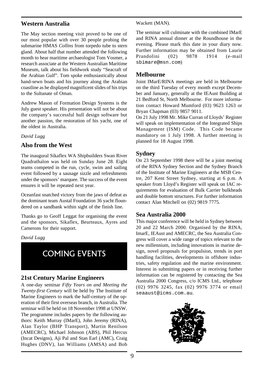### **Western Australia**

The May section meeting visit proved to be one of our most popular with over 30 people probing the submarine HMAS *Collins* from torpedo tube to stern gland. About half that number attended the following month to hear maritime archaeologist Tom Vosmer, a research associate at the Western Australian Maritime Museum, talk about his fieldwork study "Seacraft of the Arabian Gulf". Tom spoke enthusiastically about hand-sewn boats and his journey along the Arabian coastline as he displayed magnificent slides of his trips to the Sultanate of Oman.

Andrew Mason of Formation Design Systems is the July guest speaker. His presentation will not be about the company's successful hull design software but another passion, the restoration of his yacht, one of the oldest in Australia.

#### *David Lugg*

#### **Also from the West**

The inaugural Sikaflex WA Shipbuilders Swan River Quadrathalon was held on Sunday June 28. Eight teams competed in the run, cycle, swim and sailing event followed by a sausage sizzle and refreshments under the sponsors' marquee. The success of the event ensures it will be repeated next year.

Oceanfast snatched victory from the jaws of defeat as the dominant team Austal Foundation 36 yacht floundered on a sandbank within sight of the finish line.

Thanks go to Geoff Leggat for organising the event and the sponsors, Sikaflex, Beurteaux, Ayres and Camerons for their support.

*David Lugg*



#### **21st Century Marine Engineers**

A one-day seminar *Fifty Years on and Meeting the Twenty-first Century* will be held by The Institute of Marine Engineers to mark the half-century of the operation of their first overseas branch, in Australia. The seminar will be held on 18 November 1998 at UNSW. The programme includes papers by the following authors: Keith Murray (IMarE), John Jeremy (RINA), Alan Taylor (BHP Transport), Martin Renilson (AMECRC), Michael Johnson (ABS), Phil Hercus (Incat Designs), Aji Pal and Stan Earl (AMC), Craig Hughes (DNV), Ian Williams (AMSA) and Bob

#### Wackett (MAN).

The seminar will culminate with the combined IMarE and RINA annual dinner at the Roundhouse in the evening. Please mark this date in your diary now. Further information may be obtained from Laurie Prandolini (02) 9878 1914 (e-mail sbimare@msn.com)

### **Melbourne**

Joint IMarE/RINA meetings are held in Melbourne on the third Tuesday of every month except December and January, generally at the IEAust Building at 21 Bedford St, North Melbourne. For more information contact Howard Mumford (03) 9623 1263 or Bryan Chapman (03) 9857 9011.

On 21 July 1998 Mr. Mike Curran of Lloyds' Register will speak on implementation of the Integrated Ships Management (ISM) Code. This Code became mandatory on 1 July 1998. A further meeting is planned for 18 August 1998.

#### **Sydney**

On 23 September 1998 there will be a joint meeting of the RINA Sydney Section and the Sydney Branch of the Institute of Marine Engineers at the MSB Centre, 207 Kent Street Sydney, starting at 6 p.m. A speaker from Lloyd's Register will speak on IAC requirements for evaluation of Bulk Carrier bulkheads and double bottom structures. For further information contact Alan Mitchell on (02) 9819 7775.

#### **Sea Australia 2000**

This major conference will be held in Sydney between 20 and 22 March 2000. Organised by the RINA, ImarE, IEAust and AMECRC, the Sea Australia Congress will cover a wide range of topics relevant to the new millennium, including innovations in marine design, novel proposals for propulsion, trends in port handling facilities, developments in offshore industries, safety regulation and the marine environment. Interest in submitting papers or in receiving further information can be registered by contacting the Sea Australia 2000 Congress, c/o ICMS Ltd., telephone (02) 9976 3245, fax (02) 9976 3774 or email seaaust@icms.com.au.

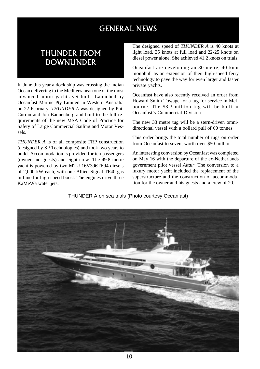# GENERAL NEWS

# THUNDER FROM **DOWNUNDER**

In June this year a dock ship was crossing the Indian Ocean delivering to the Mediterranean one of the most advanced motor yachts yet built. Launched by Oceanfast Marine Pty Limited in Western Australia on 22 February, *THUNDER A* was designed by Phil Curran and Jon Bannenberg and built to the full requirements of the new MSA Code of Practice for Safety of Large Commercial Sailing and Motor Vessels.

*THUNDER A* is of all composite FRP construction (designed by SP Technologies) and took two years to build. Accommodation is provided for ten passengers (owner and guests) and eight crew. The 49.8 metre yacht is powered by two MTU 16V396TE94 diesels of 2,000 kW each, with one Allied Signal TF40 gas turbine for high-speed boost. The engines drive three KaMeWa water jets.

The designed speed of *THUNDER A* is 40 knots at light load, 35 knots at full load and 22-25 knots on diesel power alone. She achieved 41.2 knots on trials.

Oceanfast are developing an 80 metre, 40 knot monohull as an extension of their high-speed ferry technology to pave the way for even larger and faster private yachts.

Oceanfast have also recently received an order from Howard Smith Towage for a tug for service in Melbourne. The \$8.3 million tug will be built at Oceanfast's Commercial Division.

The new 33 metre tug will be a stern-driven omnidirectional vessel with a bollard pull of 60 tonnes.

This order brings the total number of tugs on order from Oceanfast to seven, worth over \$50 million.

An interesting conversion by Oceanfast was completed on May 16 with the departure of the ex-Netherlands government pilot vessel *Altair*. The conversion to a luxury motor yacht included the replacement of the superstructure and the construction of accommodation for the owner and his guests and a crew of 20.

THUNDER A on sea trials (Photo courtesy Oceanfast)

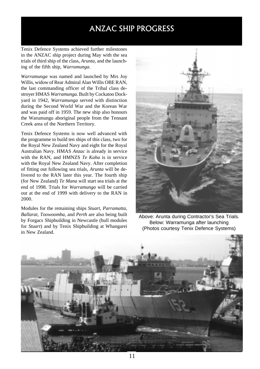# ANZAC SHIP PROGRESS

Tenix Defence Systems achieved further milestones in the ANZAC ship project during May with the sea trials of third ship of the class, *Arunta,* and the launching of the fifth ship, *Warramunga*.

*Warramunga* was named and launched by Mrs Joy Willis, widow of Rear Admiral Alan Willis OBE RAN, the last commanding officer of the Tribal class destroyer HMAS *Warramunga.* Built by Cockatoo Dockyard in 1942, *Warramunga* served with distinction during the Second World War and the Korean War and was paid off in 1959. The new ship also honours the Warumungu aboriginal people from the Tennant Creek area of the Northern Territory.

Tenix Defence Systems is now well advanced with the programme to build ten ships of this class, two for the Royal New Zealand Navy and eight for the Royal Australian Navy. HMAS *Anzac* is already in service with the RAN, and HMNZS *Te Kaha* is in service with the Royal New Zealand Navy. After completion of fitting out following sea trials, *Arunta* will be delivered to the RAN later this year. The fourth ship (for New Zealand) *Te Mana* will start sea trials at the end of 1998. Trials for *Warramunga* will be carried out at the end of 1999 with delivery to the RAN in 2000.

Modules for the remaining ships *Stuart*, *Parramatta*, *Ballarat*, *Toowoomba*, and *Perth* are also being built by Forgacs Shipbuilding in Newcastle (hull modules for *Stuart*) and by Tenix Shipbuilding at Whangarei in New Zealand.



Above: Arunta during Contractor's Sea Trials. Below: Warramunga after launching (Photos courtesy Tenix Defence Systems)

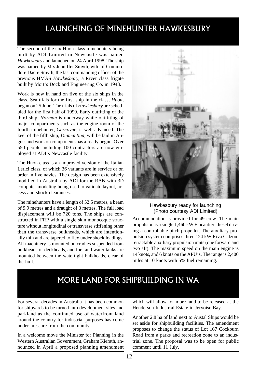# LAUNCHING OF MINEHUNTER HAWKESBURY

The second of the six Huon class minehunters being built by ADI Limited in Newcastle was named *Hawkesbury* and launched on 24 April 1998. The ship was named by Mrs Jenniffer Smyth, wife of Commodore Dacre Smyth, the last commanding officer of the previous HMAS *Hawkesbury*, a River class frigate built by Mort's Dock and Engineering Co. in 1943.

Work is now in hand on five of the six ships in the class. Sea trials for the first ship in the class, *Huon*, began on 25 June. The trials of *Hawkesbury* are scheduled for the first half of 1999. Early outfitting of the third ship, *Norman* is underway while outfitting of major compartments such as the engine room of the fourth minehunter, *Gascoyne,* is well advanced. The keel of the fifth ship, *Diamantina,* will be laid in August and work on components has already begun. Over 550 people including 100 contractors are now employed at ADI's Newcastle facility.

The Huon class is an improved version of the Italian Lerici class, of which 36 variants are in service or on order in five navies. The design has been extensively modified in Australia by ADI for the RAN with 3D computer modeling being used to validate layout, access and shock clearances.

The minehunters have a length of 52.5 metres, a beam of 9.9 metres and a draught of 3 metres. The full load displacement will be 720 tons. The ships are constructed in FRP with a single skin monocoque structure without longitudinal or transverse stiffening other than the transverse bulkheads, which are intentionally thin and are tapered to flex under shock loadings. All machinery is mounted on cradles suspended from bulkheads or deckheads, and fuel and water tanks are mounted between the watertight bulkheads, clear of the hull.



Hawkesbury ready for launching (Photo courtesy ADI Limited)

Accommodation is provided for 49 crew. The main propulsion is a single 1,460 kW Fincantieri diesel driving a controllable pitch propeller. The auxiliary propulsion system comprises three 124 kW Riva Calzoni retractable auxiliary propulsion units (one forward and two aft). The maximum speed on the main engine is 14 knots, and 6 knots on the APU's. The range is 2,400 miles at 10 knots with 5% fuel remaining.

# MORE LAND FOR SHIPBUILDING IN WA

For several decades in Australia it has been common for shipyards to be turned into development sites and parkland as the continued use of waterfront land around the country for industrial purposes has come under pressure from the community.

In a welcome move the Minister for Planning in the Western Australian Government, Graham Kierath, announced in April a proposed planning amendment which will allow for more land to be released at the Henderson Industrial Estate in Jervoise Bay.

Another 2.8 ha of land next to Austal Ships would be set aside for shipbuilding facilities. The amendment proposes to change the status of Lot 167 Cockburn Road from a parks and recreation zone to an industrial zone. The proposal was to be open for public comment until 11 July.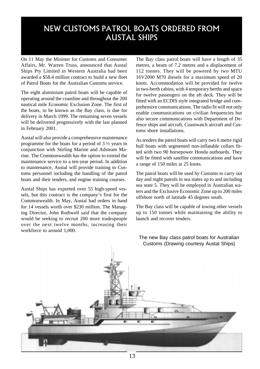# NEW CUSTOMS PATROL BOATS ORDERED FROM AUSTAL SHIPS

On 11 May the Minister for Customs and Consumer Affairs, Mr. Warren Truss, announced that Austal Ships Pty Limited in Western Australia had been awarded a \$58.4 million contract to build a new fleet of Patrol Boats for the Australian Customs service.

The eight aluminium patrol boats will be capable of operating around the coastline and throughout the 200 nautical mile Economic Exclusion Zone. The first of the boats, to be known as the Bay class, is due for delivery in March 1999. The remaining seven vessels will be delivered progressively with the last planned in February 2001.

Austal will also provide a comprehensive maintenance programme for the boats for a period of 3 ½ years in conjunction with Stirling Marine and Adsteam Marine. The Commonwealth has the option to extend the maintenance service to a ten-year period. In addition to maintenance, Austal will provide training to Customs personnel including the handling of the patrol boats and their tenders, and engine training courses.

Austal Ships has exported over 55 high-speed vessels, but this contract is the company's first for the Commonwealth. In May, Austal had orders in hand for 14 vessels worth over \$230 million. The Managing Director, John Rothwell said that the company would be seeking to recruit 200 more tradespeople over the next twelve months, increasing their workforce to around 1,000.

The Bay class patrol boats will have a length of 35 metres, a beam of 7.2 metres and a displacement of 112 tonnes. They will be powered by two MTU 16V2000 M70 diesels for a maximum speed of 20 knots. Accommodation will be provided for twelve in two-berth cabins, with 4 temporary berths and space for twelve passengers on the aft deck. They will be fitted with an ECDIS style integrated bridge and comprehensive communications. The radio fit will not only enable communications on civilian frequencies but also secure communications with Department of Defence ships and aircraft, Coastwatch aircraft and Customs shore installations.

As tenders the patrol boats will carry two 6 metre rigid hull boats with segmented non-inflatable collars fitted with two 90 horsepower Honda outboards. They will be fitted with satellite communications and have a range of 150 miles at 25 knots.

The patrol boats will be used by Customs to carry out day and night patrols in sea states up to and including sea state 5. They will be employed in Australian waters and the Exclusive Economic Zone up to 200 miles offshore north of latitude 45 degrees south.

The Bay class will be capable of towing other vessels up to 150 tonnes while maintaining the ability to launch and recover tenders.



The new Bay class patrol boats for Australian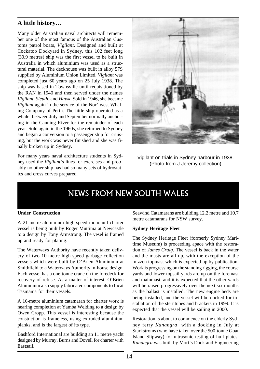### **A little history…**

Many older Australian naval architects will remember one of the most famous of the Australian Customs patrol boats, *Vigilant*. Designed and built at Cockatoo Dockyard in Sydney, this 102 feet long (30.9 metres) ship was the first vessel to be built in Australia in which aluminium was used as a structural material. The deckhouse was built in alloy 57S supplied by Aluminium Union Limited. *Vigilant* was completed just 60 years ago on 25 July 1938. The ship was based in Townsville until requisitioned by the RAN in 1940 and then served under the names *Vigilant*, *Sleuth*, and *Hawk*. Sold in 1946, she became *Vigilant* again in the service of the Nor'-west Whaling Company of Perth. The little ship operated as a whaler between July and September normally anchoring in the Canning River for the remainder of each year. Sold again in the 1960s, she returned to Sydney and began a conversion to a passenger ship for cruising, but the work was never finished and she was finally broken up in Sydney.

For many years naval architecture students in Sydney used the *Vigilant*'s lines for exercises and probably no other ship has had so many sets of hydrostatics and cross curves prepared.



Vigilant on trials in Sydney harbour in 1938. (Photo from J Jeremy collection)

# NEWS FROM NEW SOUTH WALES

#### **Under Construction**

A 21-metre aluminium high-speed monohull charter vessel is being built by Roger Muttima at Newcastle to a design by Tony Armstrong. The vesel is framed up and ready for plating.

The Waterways Authority have recently taken delivery of two 10-metre high-speed garbage collection vessels which were built by O'Brien Aluminium at Smithfield to a Waterways Authority in-house design. Each vessel has a one-tonne crane on the foredeck for recovery of refuse. As a matter of interest, O'Brien Aluminium also supply fabricated components to Incat Tasmania for their vessels.

A 16-metre aluminium catamaran for charter work is nearing completion at Yamba Welding to a design by Owen Cropp. This vessel is interesting because the constuction is frameless, using extruded aluminium planks, and is the largest of its type.

Bashford International are building an 11 metre yacht designed by Murray, Burns and Dovell for charter with Eastsail.

Seawind Catamarans are building 12.2 metre and 10.7 metre catamarans for NSW survey.

#### **Sydney Heritage Fleet**

The Sydney Heritage Fleet (formerly Sydney Maritime Museum) is proceeding apace with the restoration of *James Craig*. The vessel is back in the water and the masts are all up, with the exception of the mizzen topmast which is expected up by publication. Work is progressing on the standing rigging, the course yards and lower topsail yards are up on the foremast and mainmast, and it is expected that the other yards will be raised progressively over the next six months as the ballast is installed. The new engine beds are being installed, and the vessel will be docked for installation of the sterntubes and brackets in 1999. It is expected that the vessel will be sailing in 2000.

Restoration is about to commence on the elderly Sydney ferry *Kanangra* with a docking in July at Starkstroms (who have taken over the 500-tonne Goat Island Slipway) for ultrasonic testing of hull plates. *Kanangra* was built by Mort's Dock and Engineering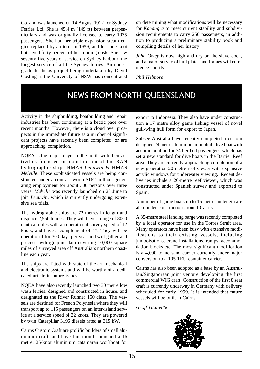Co. and was launched on 14 August 1912 for Sydney Ferries Ltd. She is 45.4 m (149 ft) between perpendiculars and was originally licensed to carry 1075 passengers. She had her triple-expansion steam engine replaced by a diesel in 1959, and lost one knot but saved forty percent of her running costs. She saw seventy-five years of service on Sydney harbour, the longest service of all the Sydney ferries. An undergraduate thesis project being undertaken by David Gosling at the University of NSW has concentrated on determining what modifications will be necessary for *Kanangra* to meet current stability and subdivision requirements to carry 250 passengers, in addition to producing a preliminary stability book and compiling details of her history.

*John Oxley* is now high and dry on the slave dock, and a major survey of hull plates and frames will commence shortly.

*Phil Helmore*

# NEWS FROM NORTH QUEENSLAND

Activity in the shipbuilding, boatbuilding and repair industries has been continuing at a hectic pace over recent months. However, there is a cloud over prospects in the immediate future as a number of significant projects have recently been completed, or are approaching completion.

NQEA is the major player in the north with their activities focussed on construction of the RAN hydrographic ships HMAS *Leeuwin* & HMAS *Melville*. These sophisticated vessels are being constructed under a contract worth \$162 million, generating employment for about 300 persons over three years. *Melville* was recently launched on 23 June to join *Leeuwin*, which is currently undergoing extensive sea trials.

The hydrographic ships are 72 metres in length and displace 2,550 tonnes. They will have a range of 8000 nautical miles with an operational survey speed of 12 knots, and have a complement of 47. They will be operational for 300 days per year and will gather and process hydrographic data covering 10,000 square miles of surveyed area off Australia's northern coastline each year.

The ships are fitted with state-of-the-art mechanical and electronic systems and will be worthy of a dedicated article in future issues.

NQEA have also recently launched two 30 metre low wash ferries, designed and constructed in house, and designated as the River Runner 150 class. The vessels are destined for French Polynesia where they will transport up to 115 passengers on an inter-island service at a service speed of 22 knots. They are powered by twin Caterpillar 3196 diesels rated at 315 kW.

Cairns Custom Craft are prolific builders of small aluminium craft, and have this month launched a 16 metre, 25-knot aluminium catamaran workboat for

export to Indonesia. They also have under construction a 17 metre alloy game fishing vessel of novel gull-wing hull form for export to Japan.

Subsee Australia have recently completed a custom designed 24 metre aluminium monohull dive boat with accommodation for 34 berthed passengers, which has set a new standard for dive boats in the Barrier Reef area. They are currently approaching completion of a new-generation 20-metre reef viewer with expansive acrylic windows for underwater viewing. Recent deliveries include a 20-metre reef viewer, which was constructed under Spanish survey and exported to Spain.

A number of game boats up to 15 metres in length are also under construction around Cairns.

A 35-metre steel landing barge was recently completed by a local operator for use in the Torres Strait area. Many operators have been busy with extensive modifications to their existing vessels, including jumboisations, crane installations, ramps, accommodation blocks etc. The most significant modification is a 4,000 tonne sand carrier currently under major conversion to a 105 TEU container carrier.

Cairns has also been adopted as a base by an Australian/Singaporean joint venture developing the first commercial WIG craft. Construction of the first 8 seat craft is currently underway in Germany with delivery scheduled for early 1999. It is intended that future vessels will be built in Cairns.

*Geoff Glanville*

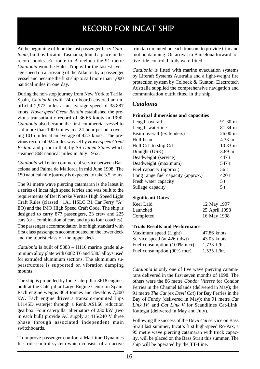# RECORD FOR INCAT SHIP

At the beginning of June the fast passenger ferry *Catalonia*, built by Incat in Tasmania, found a place in the record books. En route to Barcelona the 91 metre *Catalonia* won the Hales Trophy for the fastest average speed on a crossing of the Atlantic by a passenger vessel and became the first ship to sail more than 1,000 nautical miles in one day.

During the non-stop journey from New York to Tarifa, Spain, *Catalonia* (with 24 on board) covered an unofficial 2,972 miles at an average speed of 38.887 knots. *Hoverspeed Great Britain* established the previous transatlantic record of 36.65 knots in 1990. *Catalonia* also became the first commercial vessel to sail more than 1000 miles in a 24-hour period, covering 1015 miles at an average of 42.3 knots. The previous record of 924 miles was set by *Hoverspeed Great Britain* and prior to that, by SS *United States* which steamed 868 nautical miles in July 1952.

*Catalonia* will enter commercial service between Barcelona and Palma de Mallorca in mid June 1998. The 150 nautical mile journey is expected to take 3.5 hours.

The 91 metre wave piercing catamaran is the latest in a series of Incat high speed ferries and was built to the requirements of Det Norske Veritas High Speed Light Craft Rules (classed +1A1 HSLC R1 Car Ferry "A" EO) and the IMO High Speed Craft Code. The ship is designed to carry 877 passengers, 23 crew and 225 cars (or a combination of cars and up to four coaches). The passenger accommodation is of high standard with first class passengers accommodated on the lower deck and the tourist class on the upper deck.

*Catalonia* is built of 5383 – H116 marine grade aluminium alloy plate with 6082 T6 and 5383 alloys used for extruded aluminium sections. The aluminium superstructure is supported on vibration damping mounts.

The ship is propelled by four Caterpillar 3618 engines built at the Caterpillar Large Engine Centre in Spain. Each engine weighs 36.4 tonnes and develops 7,200 kW. Each engine drives a transom-mounted Lips LJ145D waterjet through a Renk ASL60 reduction gearbox. Four caterpillar alternators of 230 kW (two in each hull) provide AC supply at 415/240 V three phase through associated independent main switchboards.

To improve passenger comfort a Maritime Dynamics Inc. ride control system which consists of an active trim tab mounted on each transom to provide trim and motion damping. On arrival in Barcelona forward active ride control T foils were fitted.

*Catalonia* is fitted with marine evacuation systems by Liferaft Systems Australia and a light-weight fire protection system by Colbeck & Gunton. Electrotech Australia supplied the comprehensive navigation and communication outfit fitted in the ship.

### *Catalonia*

#### **Principal dimensions and capacities**

| Length overall                     | 91.30 m               |
|------------------------------------|-----------------------|
| Length waterline                   | 81.34 m               |
| Beam overall (ex fenders)          | $26.00 \text{ m}$     |
| Hull beam                          | $4.33 \; \mathrm{m}$  |
| Hull C/L to ship C/L               | $10.83 \; \mathrm{m}$ |
| Draught (USK)                      | 3.89 <sub>m</sub>     |
| Deadweight (service)               | 447 t                 |
| Deadweight (maximum)               | 547 t                 |
| Fuel capacity (approx.)            | 56 t                  |
| Long range fuel capacity (approx.) | $420$ t               |
| Fresh water capacity               | .5 t                  |
| Sullage capacity                   | 5 t                   |

#### **Significant Dates**

| Keel Laid | 12 May 1997   |
|-----------|---------------|
| Launched  | 25 April 1998 |
| Completed | 16 May 1998   |

#### **Trials Results and Performance**

| Maximum speed (Light)        | 47.86 knots   |
|------------------------------|---------------|
| Service speed (at 426 t dwt) | $43.03$ knots |
| Fuel consumption (100% mcr)  | $1,733$ L/hr. |
| Fuel consumption (90% mcr)   | $1,535$ L/hr. |

*Catalonia* is only one of five wave piercing catamarans delivered in the first seven months of 1998. The others were the 86 metre *Condor Vitesse* for Condor Ferries in the Channel Islands (delivered in May); the 91 metre *The Cat* (ex *Devil Cat*) for Bay Ferries in the Bay of Fundy (delivered in May); the 91 metre *Cat Link IV*, and *Cat Link V* for Scandlines Cat-Link, Kattegat (delivered in May and July).

Following the success of the *Devil Cat* service on Bass Strait last summer, Incat's first high-speed Ro-Pax, a 95 metre wave piercing catamaran with truck capacity, will be placed on the Bass Strait this summer. The ship will be operated by the TT-Line.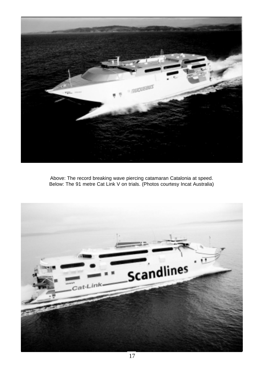

Above: The record breaking wave piercing catamaran Catalonia at speed. Below: The 91 metre Cat Link V on trials. (Photos courtesy Incat Australia)

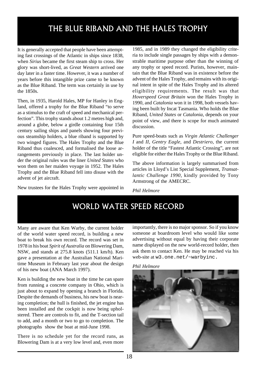# THE BLUE RIBAND AND THE HALES TROPHY

It is generally accepted that people have been attempting fast crossings of the Atlantic in ships since 1838, when *Sirius* became the first steam ship to cross. Her glory was short-lived, as *Great Western* arrived one day later in a faster time. However, it was a number of years before this intangible prize came to be known as the Blue Riband. The term was certainly in use by the 1850s.

Then, in 1935, Harold Hales, MP for Hanley in England, offered a trophy for the Blue Riband "to serve as a stimulus to the craft of speed and mechanical perfection". This trophy stands about 1.2 metres high and, around a globe, below a girdle containing four 15th century sailing ships and panels showing four previous steamship holders, a blue riband is supported by two winged figures. The Hales Trophy and the Blue Riband thus coalesced, and formalised the loose arrangements previously in place. The last holder under the original rules was the liner *United States* who won them on her maiden voyage in 1952. The Hales Trophy and the Blue Riband fell into disuse with the advent of jet aircraft.

New trustees for the Hales Trophy were appointed in

1985, and in 1989 they changed the eligibility criteria to include single passages by ships with a demonstrable maritime purpose other than the winning of any trophy or speed record. Purists, however, maintain that the Blue Riband was in existence before the advent of the Hales Trophy, and remains with its original intent in spite of the Hales Trophy and its altered eligibility requirements. The result was that *Hoverspeed Great Britain* won the Hales Trophy in 1990, and *Catalonia* won it in 1998, both vessels having been built by Incat Tasmania. Who holds the Blue Riband, *United States* or *Catalonia*, depends on your point of view, and there is scope for much animated discussion.

Pure speed-boats such as *Virgin Atlantic Challenger I* and *II*, *Gentry Eagle,* and *Destriero*, the current holder of the title "Fastest Atlantic Crossing", are not eligible for either the Hales Trophy or the Blue Riband.

The above information is largely summarised from articles in Lloyd's List Special Supplement, *Transatlantic Challenge 1990*, kindly provided by Tony Armstrong of the AMECRC.

*Phil Helmore*

# WORLD WATER SPEED RECORD

Many are aware that Ken Warby, the current holder of the world water speed record, is building a new boat to break his own record. The record was set in 1978 in his boat *Spirit of Australia* on Blowering Dam, NSW, and stands at 275.8 knots (511.1 km/h). Ken gave a presentation at the Australian National Maritime Museum in February last year about the design of his new boat (ANA March 1997).

Ken is building the new boat in the time he can spare from running a concrete company in Ohio, which is just about to expand by opening a branch in Florida. Despite the demands of business, his new boat is nearing completion; the hull is finished, the jet engine has been installed and the cockpit is now being upholstered. There are controls to fit, and the T-section tail to add, and a month or two to go to completion. The photographs show the boat at mid-June 1998.

There is no schedule yet for the record runs, as Blowering Dam is at a very low level and, even more importantly, there is no major sponsor. So if you know someone at boardroom level who would like some advertising without equal by having their corporate name displayed on the new world-record holder, then ask them to contact Ken. He may be reached via his web-site at w3.one.net/~warbyinc.



*Phil Helmore*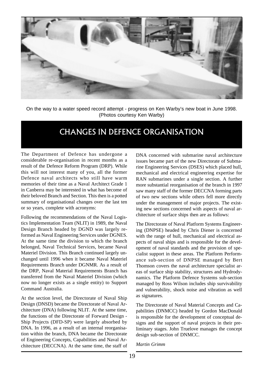

On the way to a water speed record attempt - progress on Ken Warby's new boat in June 1998. (Photos courtesy Ken Warby)

# CHANGES IN DEFENCE ORGANISATION

The Department of Defence has undergone a considerable re-organisation in recent months as a result of the Defence Reform Program (DRP). While this will not interest many of you, all the former Defence naval architects who still have warm memories of their time as a Naval Architect Grade 1 in Canberra may be interested in what has become of their beloved Branch and Section. This then is a potted summary of organisational changes over the last ten or so years, complete with acronyms:

Following the recommendations of the Naval Logistics Implementation Team (NLIT) in 1989, the Naval Design Branch headed by DGND was largely reformed as Naval Engineering Services under DGNES. At the same time the division to which the branch belonged, Naval Technical Services, became Naval Materiel Division. This Branch continued largely unchanged until 1996 when it became Naval Materiel Requirements Branch under DGNMR. As a result of the DRP, Naval Material Requirements Branch has transferred from the Naval Materiel Division (which now no longer exists as a single entity) to Support Command Australia.

At the section level, the Directorate of Naval Ship Design (DNSD) became the Directorate of Naval Architecture (DNA) following NLIT. At the same time, the functions of the Directorate of Forward Design - Ship Projects (DFD-SP) were largely absorbed by DNA. In 1996, as a result of an internal reorganisation within the branch, DNA became the Directorate of Engineering Concepts, Capabilities and Naval Architecture (DECCNA). At the same time, the staff of

DNA concerned with submarine naval architecture issues became part of the new Directorate of Submarine Engineering Services (DSES) which placed hull, mechanical and electrical engineering expertise for RAN submarines under a single section. A further more substantial reorganisation of the branch in 1997 saw many staff of the former DECCNA forming parts of two new sections while others fell more directly under the management of major projects. The existing new sections concerned with aspects of naval architecture of surface ships then are as follows:

The Directorate of Naval Platform Systems Engineering (DNPSE) headed by Chris Diener is concerned with the range of hull, mechanical and electrical aspects of naval ships and is responsible for the development of naval standards and the provision of specialist support in these areas. The Platform Performance sub-section of DNPSE managed by Bert Thomson covers the naval architecture specialist areas of surface ship stability, structures and Hydrodynamics. The Platform Defence Systems sub-section managed by Ross Wilson includes ship survivability and vulnerability, shock noise and vibration as well as signatures.

The Directorate of Naval Material Concepts and Capabilities (DNMCC) headed by Gordon MacDonald is responsible for the development of conceptual designs and the support of naval projects in their preliminary stages. John Truelove manages the concept design sub-section of DNMCC.

*Martin Grimm*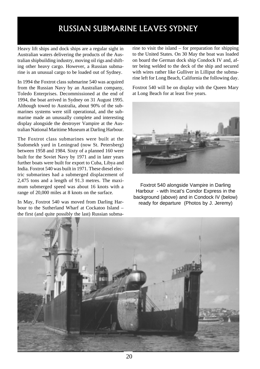# RUSSIAN SUBMARINE LEAVES SYDNEY

Heavy lift ships and dock ships are a regular sight in Australian waters delivering the products of the Australian shipbuilding industry, moving oil rigs and shifting other heavy cargo. However, a Russian submarine is an unusual cargo to be loaded out of Sydney.

In 1994 the Foxtrot class submarine 540 was acquired from the Russian Navy by an Australian company, Toledo Enterprises. Decommissioned at the end of 1994, the boat arrived in Sydney on 31 August 1995. Although towed to Australia, about 90% of the submarines systems were still operational, and the submarine made an unusually complete and interesting display alongside the destroyer Vampire at the Australian National Maritime Museum at Darling Harbour.

The Foxtrot class submarines were built at the Sudomekh yard in Leningrad (now St. Petersberg) between 1958 and 1984. Sixty of a planned 160 were built for the Soviet Navy by 1971 and in later years further boats were built for export to Cuba, Libya and India. Foxtrot 540 was built in 1971. These diesel electric submarines had a submerged displacement of 2,475 tons and a length of 91.3 metres. The maximum submerged speed was about 16 knots with a range of 20,000 miles at 8 knots on the surface.

In May, Foxtrot 540 was moved from Darling Harbour to the Sutherland Wharf at Cockatoo Island – the first (and quite possibly the last) Russian submarine to visit the island – for preparation for shipping to the United States. On 30 May the boat was loaded on board the German dock ship Condock IV and, after being welded to the deck of the ship and secured with wires rather like Gulliver in Lilliput the submarine left for Long Beach, California the following day.

Foxtrot 540 will be on display with the Queen Mary at Long Beach for at least five years.



Foxtrot 540 alongside Vampire in Darling Harbour - with Incat's Condor Express in the background (above) and in Condock IV (below) ready for departure (Photos by J. Jeremy)

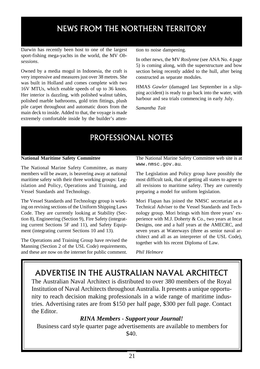# NEWS FROM THE NORTHERN TERRITORY

Darwin has recently been host to one of the largest sport-fishing mega-yachts in the world, the MV *Obsessions*.

Owned by a media mogul in Indonesia, the craft is very impressive and measures just over 38 metres. She was built in Holland and comes complete with two 16V MTUs, which enable speeds of up to 36 knots. Her interior is dazzling, with polished walnut tables, polished marble bathrooms, gold trim fittings, plush pile carpet throughout and automatic doors from the main deck to inside. Added to that, the voyage is made extremely comfortable inside by the builder's attention to noise dampening.

In other news, the MV *Roslynne* (see ANA No. 4 page 5) is coming along, with the superstructure and bow section being recently added to the hull, after being constructed as separate modules.

HMAS *Gawler* (damaged last September in a slipping accident) is ready to go back into the water, with harbour and sea trials commencing in early July.

*Samantha Tait*

# PROFESSIONAL NOTES

#### **National Maritime Safety Committee**

The National Marine Safety Committee, as many members will be aware, is beavering away at national maritime safety with their three working groups: Legislation and Policy, Operations and Training, and Vessel Standards and Technology.

The Vessel Standards and Technology group is working on revising sections of the Uniform Shipping Laws Code. They are currently looking at Stability (Section 8), Engineering (Section 9), Fire Safety (integrating current Sections 5F and 11), and Safety Equipment (integrating current Sections 10 and 13).

The Operations and Training Group have revised the Manning (Section 2 of the USL Code) requirements, and these are now on the internet for public comment. The National Marine Safety Committee web site is at www.nmsc.gov.au.

The Legislation and Policy group have possibly the most difficult task, that of getting all states to agree to all revisions to maritime safety. They are currently preparing a model for uniform legislation.

Mori Flapan has joined the NMSC secretariat as a Technical Adviser to the Vessel Standards and Technology group. Mori brings with him three years' experience with M.J. Doherty & Co., two years at Incat Designs, one and a half years at the AMECRC, and seven years at Waterways (three as senior naval architect and all as an interpreter of the USL Code), together with his recent Diploma of Law.

*Phil Helmore*

# ADVERTISE IN THE AUSTRALIAN NAVAL ARCHITECT

The Australian Naval Architect is distributed to over 380 members of the Royal Institution of Naval Architects throughout Australia. It presents a unique opportunity to reach decision making professionals in a wide range of maritime industries. Advertising rates are from \$150 per half page, \$300 per full page. Contact the Editor.

### *RINA Members - Support your Journal!*

 Business card style quarter page advertisements are available to members for \$40.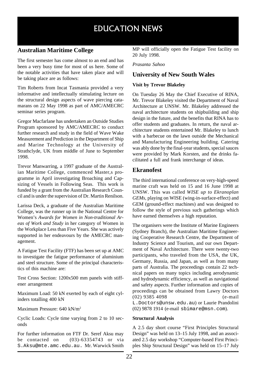# EDUCATION NEWS

### **Australian Maritime College**

The first semester has come almost to an end and has been a very busy time for most of us here. Some of the notable activities that have taken place and will be taking place are as follows:

Tim Roberts from Incat Tasmania provided a very informative and intellectually stimulating lecture on the structural design aspects of wave piercing catamarans on 22 May 1998 as part of AMC/AMECRC seminar series program.

Gregor Macfarlane has undertaken an Outside Studies Program sponsored by AMC/AMECRC to conduct further research and study in the field of Wave Wake Measurement and Prediction in the Department of Ship and Marine Technology at the University of Strathclyde, UK from middle of June to September 1998.

Trevor Manwarring, a 1997 graduate of the Australian Maritime College, commenced Master,s programme in April investigating Broaching and Capsizing of Vessels in Following Seas. This work is funded by a grant from the Australian Research Council and is under the supervision of Dr. Martin Renilson.

Larissa Deck, a graduate of the Australian Maritime College, was the runner up in the National Centre for Women's *Awards for Women in Non-traditional Areas of Work and Study* in her category of Women in the Workplace Less than Five Years. She was actively supported in her endeavours by the AMECRC management.

A Fatigue Test Facility (FTF) has been set up at AMC to investigate the fatigue performance of aluminium and steel structure. Some of the principal characteristics of this machine are:

Test Cross Section: 1200x500 mm panels with stiffener arrangement

Maximum Load: 50 kN exerted by each of eight cylinders totalling 400 kN

Maximum Pressure: 640 kN/m2

Cyclic Loads: Cycle time varying from 2 to 10 seconds

For further information on FTF Dr. Seref Aksu may be contacted on (03)-63354743 or via S.Aksu@mte.amc.edu.au. Mr. Warwick Smith MP will officially open the Fatigue Test facility on 20 July 1998.

*Prasanta Sahoo*

#### **University of New South Wales**

#### **Visit by Trevor Blakeley**

On Tuesday 26 May the Chief Executive of RINA, Mr. Trevor Blakeley visited the Department of Naval Architecture at UNSW. Mr. Blakeley addressed the naval architecture students on shipbuilding and ship design in the future, and the benefits that RINA has to offer students and graduates. In return, the naval architecture students entertained Mr. Blakeley to lunch with a barbecue on the lawn outside the Mechanical and Manufacturing Engineering building. Catering was ably done by the final-year students, special sauces were provided by Mark Korsten, and the drinks facilitated a full and frank interchange of ideas.

#### **Ekranofest**

The third international conference on very-high-speed marine craft was held on 15 and 16 June 1998 at UNSW. This was called *WISE up to Ekranoplan GEMs,* playing on WISE (wing-in-surface-effect) and GEM (ground-effect machines) and was designed to follow the style of previous such gatherings which have earned themselves a high reputation.

The organisers were the Institute of Marine Engineers (Sydney Branch), the Australian Maritime Engineering Cooperative Research Centre, the Department of Industry Science and Tourism, and our own Department of Naval Architecture. There were twenty-two participants, who traveled from the USA, the UK, Germany, Russia, and Japan, as well as from many parts of Australia. The proceedings contain 22 technical papers on many topics including aerodynamic and hydrodynamic efficiency, as well as navigational and safety aspects. Further information and copies of proceedings can be obtained from Lawry Doctors (02) 9385 4098 (e-mail L.Doctors@unsw.edu.au) or Laurie Prandolini (02) 9878 1914 (e-mail sbimare@msn.com).

#### **Structural Analysis**

A 2.5 day short course "First Principles Structural Design" was held on 13–15 July 1998, and an associated 2.5 day workshop "Computer-based First Principles Ship Structural Design" was held on 15–17 July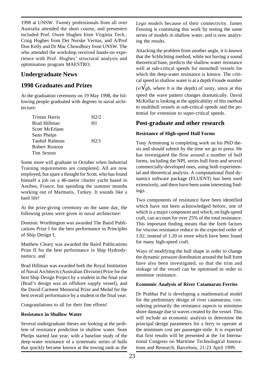1998 at UNSW. Twenty professionals from all over Australia attended the short course, and presenters included Prof. Owen Hughes from Virginia Tech., Craig Hughes from Det Norske Veritas, and A/Prof Don Kelly and Dr Mac Chowdhury from UNSW. The who attended the workshop received hands-on experience with Prof. Hughes' structural analysis and optimisation program MAESTRO.

### **Undergraduate News**

### **1998 Graduates and Prizes**

At the graduation ceremony on 19 May 1998, the following people graduated with degrees in naval architecture:

| Tristan Harris | H2/2 |
|----------------|------|
| Brad Hillman   | H1   |
| Scott McErlane |      |
| Sean Phelps    |      |
| Tauhid Rahman  | H2/1 |
| Robert Rostron |      |
| Tim Sexton     |      |

Some more will graduate in October when Industrial Training requirements are completed. All are now employed, but spare a thought for Scott, who has found himself a job on a 46-metre charter yacht based in Antibes, France, but spending the summer months working out of Marmaris, Turkey. It sounds like a hard life!

At the prize-giving ceremony on the same day, the following prizes were given in naval architecture:

Dominic Worthington was awarded The Baird Publications Prize I for the best performance in Principles of Ship Design I;

Matthew Cleary was awarded the Baird Publications Prize II for the best performance in Ship Hydrodynamics; and

Brad Hillman was awarded both the Royal Institution of Naval Architects (Australian Division) Prize for the best Ship Design Project by a student in the final year (Brad's design was an offshore supply vessel), and the David Carment Memorial Prize and Medal for the best overall performance by a student in the final year.

Congratulations to all for their fine efforts!

#### **Resistance in Shallow Water**

Several undergraduate theses are looking at the problem of resistance prediction in shallow water. Sean Phelps started last year, with a baseline study of the deep-water resistance of a systematic series of hulls that quickly became known at the towing tank as the

*Lego models* because of their connectivity. James Fenning is continuing this work by testing the same series of models in shallow water, and is now analysing the results.

Attacking the problem from another angle, it is known that the Schlichting method, while not having a sound theoretical base, predicts the shallow water resistance well at sub-critical speeds for monohull vessels for which the deep-water resistance is known. The critical speed in shallow water is at a depth Froude number  $(v/\sqrt{gh}$ , where *h* is the depth) of unity, since at this speed the wave pattern changes dramatically. David McKellar is looking at the applicability of this method to multihull vessels at sub-critical speeds and the potential for extension to super-critical speeds.

#### **Post-graduate and other research**

#### **Resistance of High-speed Hull Forms**

Tony Armstrong is completing work on his PhD thesis and should submit by the time we go to press. He has investigated the flow around a number of hull forms, including the NPL series hull form and several commercially-developed ones, using both experimental and theoretical analysis. A computational fluid dynamics software package (FLUENT) has been used extensively, and there have been some interesting findings.

Two components of resistance have been identified which have not been acknowledged before, one of which is a major component and which, on high-speed craft, can account for over 25% of the total resistance. This important finding means that the form factors for viscous resistance reduce to the expected order of 1.02, instead of 1.20 or more which have been found for many high-speed craft.

Ways of modifying the hull shape in order to change the dynamic pressure distribution around the hull form have also been investigated, so that the trim and sinkage of the vessel can be optimised in order to minimise resistance.

#### **Economic Analysis of River Catamaran Ferries**

Dr Prabhat Pal is developing a mathematical model for the preliminary design of river catamarans, considering primarily the resistance aspects to minimise shore damage due to waves created by the vessel. This will include an economic analysis to determine the principal design parameters for a ferry to operate at the minimum cost per passenger-mile. It is expected that first results will be presented at the 1st International Congress on Maritime Technological Innovations and Research, Barcelona, 21-23 April 1999.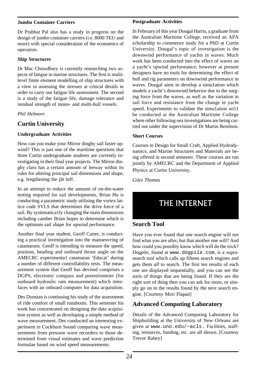#### **Jumbo Container Carriers**

Dr Prabhat Pal also has a study in progress on the design of jumbo container carriers (i.e. 8000 TEU and more) with special consideration of the economics of operation.

#### **Ship Structures**

Dr Mac Chowdhury is currently researching two aspects of fatigue in marine structures. The first is multilevel finite element modelling of ship structures with a view to assessing the stresses at critical details in order to carry out fatigue life assessment. The second is a study of the fatigue life, damage tolerance and residual strength of mono- and multi-hull vessels.

*Phil Helmore*

### **Curtin University**

#### **Undergraduate Activities**

How can you make your Mirror dinghy sail faster upwind? This is just one of the maritime questions that three Curtin undergraduate students are currently investigating in their final year projects. The Mirror dinghy class has a certain amount of leeway within its rules for altering principal sail dimensions and shape, e.g. lengthening the jib luff.

In an attempt to reduce the amount of on-the-water testing required for sail developments, Brian Hu is conducting a parametric study utilising the vortex lattice code SVLS that determines the drive force of a sail. By systematica1ly changing the main dimensions including camber Brian hopes to determine which is the optimum sail shape for upwind performance.

Another final year student, Geoff Carter, is conducting a practical investigation into the manoeuvring of catamarans. Geoff is intending to measure the speed, position, heading and outboard thrust angle on the AMECRC experimenta1 catamaran 'Educat' during a number of different controllability tests. The measurement system that Geoff has devised comprises a DGPS, electronic compass and potentiometer (for outboard hydraulic ram measurement) which interfaces with an onboard computer for data acquisition.

Des Dunstan is continuing his study of the assessment of ride comfort of small runabouts. This semester his work has concentrated on designing the data acquisition system as well as developing a simple method of wave measurement. Des conducted an interesting experiment in Cockburn Sound comparing wave measurements from pressure wave recorders to those determined from visual estimates and wave prediction formulae based on wind speed measurements.

#### **Postgraduate Activities**

In February of this year Dougal Harris, a graduate from the Australian Maritime College, received an APA scholarship to commence study for a PhD at Curtin University. Dougal's topic of investigation is the downwind performance of yachts in waves. Much work has been conducted into the effect of waves on a yacht's upwind performance; however at present designers have no tools for determining the effect of hull and rig parameters on downwind performance in waves. Dougal aims to develop a simu1ation which models a yacht's downwind behavior due to the surging force from the waves, as well as the variation in sail force and resistance from the change in yacht speed. Experiments to validate the simu1ation wi11 be conducted at the Australian Maritime College where other following-sea investigations are being carried out under the supervision of Dr Martin Renilson.

#### **Short Courses**

Courses in Design for Small Craft, Applied Hydrodynamics, and Marine Structures and Materials are being offered in second semester. These courses are run jointly by AMECRC and the Department of Applied Physics at Curtin University.

*Giles Thomas*

# THE INTERNET

### **Search Tool**

Have you ever found that one search engine will not find what you are after, but that another one will? And how could you possibly know which will do the trick? *Dogpile*, found at www.dogpile.com, is a suprasearch tool which calls up fifteen search engines and gets them *all* to search. The first ten results of each one are displayed sequentially, and you can see the sorts of things that are being found. If they are the right sort of thing then you can ask for more, or simply go on to the results found by the next search engine. [Courtesy Mori Flapan]

### **Advanced Computing Laboratory**

Details of the Advanced Computing Laboratory for Shipbuilding at the University of New Orleans are given at www.uno.edu/~acls. Facilities, staffing, resources, funding, etc. are all shown. [Courtesy Trevor Rabey]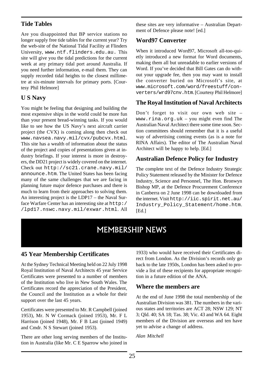### **Tide Tables**

Are you disappointed that BP service stations no longer supply free tide tables for the current year? Try the web-site of the National Tidal Facility at Flinders University, www.ntf.flinders.edu.au. This site will give you the tidal predictions for the current week at any primary tidal port around Australia. If you need further information, e-mail them. They can supply recorded tidal heights to the closest millimetre at six-minute intervals for primary ports. [Courtesy Phil Helmore]

### **U S Navy**

You might be feeling that designing and building the most expensive ships in the world could be more fun than your present bread-winning tasks. If you would like to see how the US Navy's next aircraft carrier project (the CVX) is coming along then check out www.navsea.navy.mil/cvx/pubcvx.html. This site has a wealth of information about the status of the project and copies of presentations given at industry briefings. If your interest is more in destroyers, the DD21 project is widely covered on the internet. Check out http://sc21.crane.navy.mil/ announce.htm. The United States has been facing many of the same challenges that we are facing in planning future major defence purchases and there is much to learn from their approaches to solving them. An interesting project is the LDP17 – the Naval Surface Warfare Center has an interesting site at http:/ /lpd17.nswc.navy.mil/exwar.html. All

these sites are very informative – Australian Department of Defence please note! [ed.]

### **Word97 Converter**

When it introduced Word97, Microsoft all-too-quietly introduced a new format for Word documents, making them all but unreadable to earlier versions of Word. If you've decided that Bill Gates can do without your upgrade fee, then you may want to install the converter buried on Microsoft's site, at www.microsoft.com/word/freestuff/converters/wrd97cnv.htm. [Courtesy Phil Helmore]

# **The Royal Institution of Naval Architects**

Don't forget to visit our own web site – www.rina.org.uk – you might even find The Australian Naval Architect there some time soon. Section committees should remember that it is a useful way of advertising coming events (as is a note for RINA Affairs). The editor of The Australian Naval Architect will be happy to help. [Ed.]

# **Australian Defence Policy for Industry**

The complete text of the Defence Industry Strategic Policy Statement released by the Minister for Defence Industry, Science and Personnel, The Hon. Bronwyn Bishop MP, at the Defence Procurement Conference in Canberra on 2 June 1998 can be downloaded from the internet. Visit http://iic.spirit.net.au/ Industry\_Policy\_Statement/home.htm. [Ed.]

# MEMBERSHIP NEWS

# **45 Year Membership Certificates**

At the Sydney Technical Meeting held on 22 July 1998 Royal Institution of Naval Architects 45 year Service Certificates were presented to a number of members of the Institution who live in New South Wales. The Certificates record the appreciation of the President, the Council and the Institution as a whole for their support over the last 45 years.

Certificates were presented to Mr. R Campbell (joined 1953), Mr. N W Cormack (joined 1953), Mr. F L Harrison (joined 1948), Mr. F B Last (joined 1949) and Cmdr. N S Stewart (joined 1953).

There are other long serving members of the Institution in Australia (like Mr. C E Sparrow who joined in 1933) who would have received their Certificates direct from London. As the Division's records only go back to the late 1950s, London has been asked to provide a list of these recipients for appropriate recognition in a future edition of the ANA.

### **Where the members are**

At the end of June 1998 the total membership of the Australian Division was 381. The numbers in the various states and territories are ACT 28; NSW 129; NT 3; Qld. 40; SA 18; Tas. 38; Vic. 43 and WA 64. Eight members of the Division are overseas and ten have yet to advise a change of address.

*Alan Mitchell*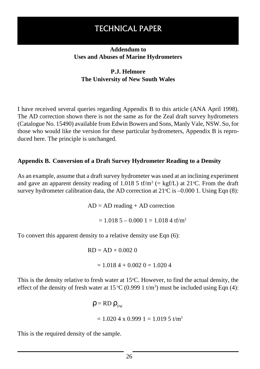# TECHNICAL PAPER

### **Addendum to Uses and Abuses of Marine Hydrometers**

# **P.J. Helmore The University of New South Wales**

I have received several queries regarding Appendix B to this article (ANA April 1998). The AD correction shown there is not the same as for the Zeal draft survey hydrometers (Catalogue No. 15490) available from Edwin Bowers and Sons, Manly Vale, NSW. So, for those who would like the version for these particular hydrometers, Appendix B is reproduced here. The principle is unchanged.

### **Appendix B. Conversion of a Draft Survey Hydrometer Reading to a Density**

As an example, assume that a draft survey hydrometer was used at an inclining experiment and gave an apparent density reading of 1.018 5 tf/m<sup>3</sup> (= kgf/L) at 21 °C. From the draft survey hydrometer calibration data, the AD correction at  $21^{\circ}$ C is  $-0.000$  1. Using Eqn (8):

 $AD = AD$  reading  $+ AD$  correction

 $= 1.0185 - 0.0001 = 1.0184$  tf/m<sup>3</sup>

To convert this apparent density to a relative density use Eqn (6):

 $RD = AD + 0.002$  0  $= 1.0184 + 0.0020 = 1.0204$ 

This is the density relative to fresh water at  $15^{\circ}$ C. However, to find the actual density, the effect of the density of fresh water at 15 °C (0.999 1 t/m<sup>3</sup>) must be included using Eqn (4):

> $ρ = RD ρ<sub>rw</sub>$  $= 1.0204$  x 0.999 1 = 1.019 5 t/m<sup>3</sup>

This is the required density of the sample.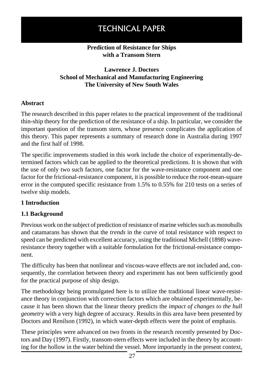# TECHNICAL PAPER

### **Prediction of Resistance for Ships with a Transom Stern**

# **Lawrence J. Doctors School of Mechanical and Manufacturing Engineering The University of New South Wales**

### **Abstract**

The research described in this paper relates to the practical improvement of the traditional thin-ship theory for the prediction of the resistance of a ship. In particular, we consider the important question of the transom stern, whose presence complicates the application of this theory. This paper represents a summary of research done in Australia during 1997 and the first half of 1998.

The specific improvements studied in this work include the choice of experimentally-determined factors which can be applied to the theoretical predictions. It is shown that with the use of only two such factors, one factor for the wave-resistance component and one factor for the frictional-resistance component, it is possible to reduce the root-mean-square error in the computed specific resistance from 1.5% to 0.55% for 210 tests on a series of twelve ship models.

### **1 Introduction**

### **1.1 Background**

Previous work on the subject of prediction of resistance of marine vehicles such as monohulls and catamarans has shown that the *trends* in the curve of total resistance with respect to speed can be predicted with excellent accuracy, using the traditional Michell (1898) waveresistance theory together with a suitable formulation for the frictional-resistance component.

The difficulty has been that nonlinear and viscous-wave effects are not included and, consequently, the correlation between theory and experiment has not been sufficiently good for the practical purpose of ship design.

The methodology being promulgated here is to utilize the traditional linear wave-resistance theory in conjunction with correction factors which are obtained experimentally, because it has been shown that the linear theory predicts the *impact of changes to the hull geometry* with a very high degree of accuracy. Results in this area have been presented by Doctors and Renilson (1992), in which water-depth effects were the point of emphasis.

These principles were advanced on two fronts in the research recently presented by Doctors and Day (1997). Firstly, transom-stern effects were included in the theory by accounting for the hollow in the water behind the vessel. More importantly in the present context,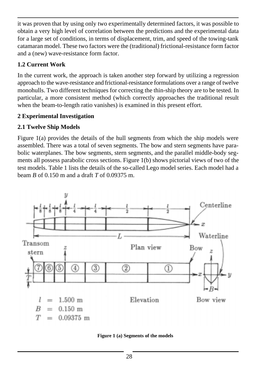it was proven that by using only two experimentally determined factors, it was possible to obtain a very high level of correlation between the predictions and the experimental data for a large set of conditions, in terms of displacement, trim, and speed of the towing-tank catamaran model. These two factors were the (traditional) frictional-resistance form factor and a (new) wave-resistance form factor.

# **1.2 Current Work**

In the current work, the approach is taken another step forward by utilizing a regression approach to the wave-resistance and frictional-resistance formulations over a range of twelve monohulls. Two different techniques for correcting the thin-ship theory are to be tested. In particular, a more consistent method (which correctly approaches the traditional result when the beam-to-length ratio vanishes) is examined in this present effort.

# **2 Experimental Investigation**

# **2.1 Twelve Ship Models**

Figure 1(a) provides the details of the hull segments from which the ship models were assembled. There was a total of seven segments. The bow and stern segments have parabolic waterplanes. The bow segments, stern segments, and the parallel middle-body segments all possess parabolic cross sections. Figure 1(b) shows pictorial views of two of the test models. Table 1 lists the details of the so-called Lego model series. Each model had a beam *B* of 0.150 m and a draft *T* of 0.09375 m.



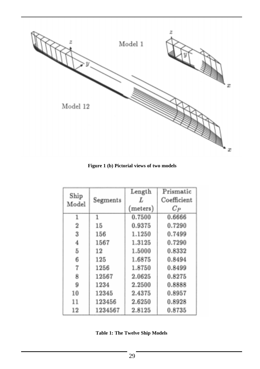

**Figure 1 (b) Pictorial views of two models**

|                |          | Length   | Prismatic   |
|----------------|----------|----------|-------------|
| Ship<br>Model  | Segments | L        | Coefficient |
|                |          | (meters) | $C_P$       |
| 1              | 1        | 0.7500   | 0.6666      |
| $\overline{2}$ | 15       | 0.9375   | 0.7290      |
| 3              | 156      | 1.1250   | 0.7499      |
| 4              | 1567     | 1.3125   | 0.7290      |
| 5              | 12       | 1.5000   | 0.8332      |
| 6              | 125      | 1.6875   | 0.8494      |
| 7              | 1256     | 1.8750   | 0.8499      |
| 8              | 12567    | 2.0625   | 0.8275      |
| 9              | 1234     | 2.2500   | 0.8888      |
| 10             | 12345    | 2.4375   | 0.8957      |
| 11             | 123456   | 2.6250   | 0.8928      |
| 12             | 1234567  | 2.8125   | 0.8735      |

**Table 1: The Twelve Ship Models**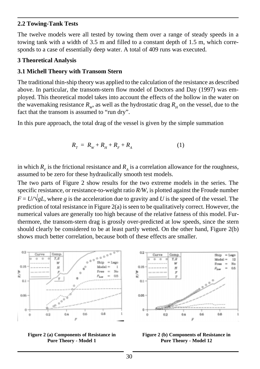### **2.2 Towing-Tank Tests**

The twelve models were all tested by towing them over a range of steady speeds in a towing tank with a width of 3.5 m and filled to a constant depth of 1.5 m, which corresponds to a case of essentially deep water. A total of 409 runs was executed.

### **3 Theoretical Analysis**

### **3.1 Michell Theory with Transom Stern**

The traditional thin-ship theory was applied to the calculation of the resistance as described above. In particular, the transom-stern flow model of Doctors and Day (1997) was employed. This theoretical model takes into account the effects of the hollow in the water on the wavemaking resistance  $R_{w}$ , as well as the hydrostatic drag  $R_{u}$  on the vessel, due to the fact that the transom is assumed to "run dry".

In this pure approach, the total drag of the vessel is given by the simple summation

$$
R_{T} = R_{W} + R_{H} + R_{F} + R_{A}
$$
 (1)

in which  $R<sub>F</sub>$  is the frictional resistance and  $R<sub>A</sub>$  is a correlation allowance for the roughness, assumed to be zero for these hydraulically smooth test models.

The two parts of Figure 2 show results for the two extreme models in the series. The specific resistance, or resistance-to-weight ratio *R/W*, is plotted against the Froude number  $F = U/\sqrt{gL}$ , where g is the acceleration due to gravity and U is the speed of the vessel. The prediction of total resistance in Figure 2(a) is seen to be qualitatively correct. However, the numerical values are generally too high because of the relative fatness of this model. Furthermore, the transom-stern drag is grossly over-predicted at low speeds, since the stern should clearly be considered to be at least partly wetted. On the other hand, Figure 2(b) shows much better correlation, because both of these effects are smaller.





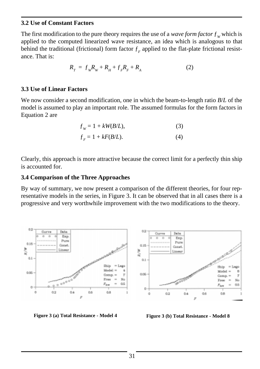### **3.2 Use of Constant Factors**

The first modification to the pure theory requires the use of a *wave form factor*  $f_w$  which is applied to the computed linearized wave resistance, an idea which is analogous to that behind the traditional (frictional) form factor  $f<sub>r</sub>$  applied to the flat-plate frictional resistance. That is:

$$
R_{T} = f_{W}R_{W} + R_{H} + f_{F}R_{F} + R_{A}
$$
 (2)

### **3.3 Use of Linear Factors**

We now consider a second modification, one in which the beam-to-length ratio *B*/*L* of the model is assumed to play an important role. The assumed formulas for the form factors in Equation 2 are

$$
f_w = 1 + kW(B/L),\tag{3}
$$

$$
f_F = 1 + kF(B/L). \tag{4}
$$

Clearly, this approach is more attractive because the correct limit for a perfectly thin ship is accounted for.

### **3.4 Comparison of the Three Approaches**

By way of summary, we now present a comparison of the different theories, for four representative models in the series, in Figure 3. It can be observed that in all cases there is a progressive and very worthwhile improvement with the two modifications to the theory.



**Figure 3 (a) Total Resistance - Model 4 Figure 3 (b) Total Resistance - Model 8**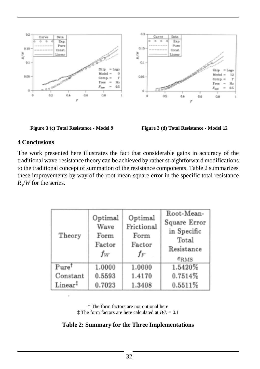



# **4 Conclusions**

The work presented here illustrates the fact that considerable gains in accuracy of the traditional wave-resistance theory can be achieved by rather straightforward modifications to the traditional concept of summation of the resistance components. Table 2 summarizes these improvements by way of the root-mean-square error in the specific total resistance  $R_{\gamma}/W$  for the series.

| Theory              | Optimal<br>Wave<br>Form<br>Factor<br>fw | Optimal<br>Frictional<br>Form<br>Factor<br>fF | Root-Mean-<br>Square Error<br>in Specific<br>Total<br>Resistance<br>e <sub>RMS</sub> |
|---------------------|-----------------------------------------|-----------------------------------------------|--------------------------------------------------------------------------------------|
| $Pure^{\dagger}$    | 1.0000                                  | 1.0000                                        | 1.5420%                                                                              |
| Constant            | 0.5593                                  | 1.4170                                        | 0.7514%                                                                              |
| Linear <sup>‡</sup> | 0.7023                                  | 1.3408                                        | 0.5511%                                                                              |

† The form factors are not optional here ‡ The form factors are here calculated at *B/L* = 0.1

**Table 2: Summary for the Three Implementations**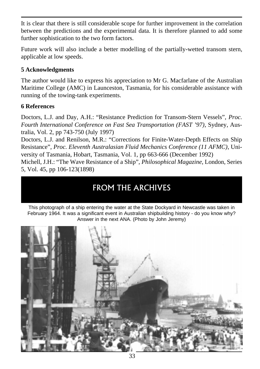It is clear that there is still considerable scope for further improvement in the correlation between the predictions and the experimental data. It is therefore planned to add some further sophistication to the two form factors.

Future work will also include a better modelling of the partially-wetted transom stern, applicable at low speeds.

# **5 Acknowledgments**

The author would like to express his appreciation to Mr G. Macfarlane of the Australian Maritime College (AMC) in Launceston, Tasmania, for his considerable assistance with running of the towing-tank experiments.

# **6 References**

Doctors, L.J. and Day, A.H.: "Resistance Prediction for Transom-Stern Vessels", *Proc. Fourth International Conference on Fast Sea Transportation (FAST '97)*, Sydney, Australia, Vol. 2, pp 743-750 (July 1997)

Doctors, L.J. and Renilson, M.R.: "Corrections for Finite-Water-Depth Effects on Ship Resistance", *Proc. Eleventh Australasian Fluid Mechanics Conference (11 AFMC)*, University of Tasmania, Hobart, Tasmania, Vol. 1, pp 663-666 (December 1992) Michell, J.H.: "The Wave Resistance of a Ship", *Philosophical Magazine*, London, Series 5, Vol. 45, pp 106-123(1898)

# FROM THE ARCHIVES

This photograph of a ship entering the water at the State Dockyard in Newcastle was taken in February 1964. It was a significant event in Australian shipbuilding history - do you know why? Answer in the next ANA. (Photo by John Jeremy)

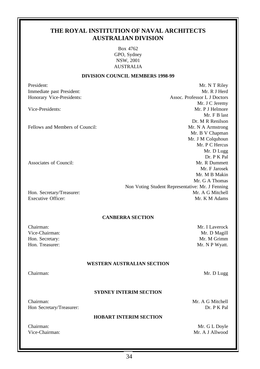### **THE ROYAL INSTITUTION OF NAVAL ARCHITECTS AUSTRALIAN DIVISION**

Box 4762 GPO, Sydney NSW, 2001 AUSTRALIA

#### **DIVISION COUNCIL MEMBERS 1998-99**

Mr. F B last

Mr. D Lugg Dr. P K Pal

President: Mr. N T Riley Immediate past President: Mr. R J Herd Honorary Vice-Presidents: Assoc. Professor L J Doctors Mr. J C Jeremy Vice-Presidents: Mr. P J Helmore Dr. M R Renilson Fellows and Members of Council: The Mathematic Mr. N A Armstrong Mr. B V Chapman Mr. J M Colquhoun Mr. P C Hercus Associates of Council: The Council: Mr. R Dummett Mr. F Jarosek Mr. M B Makin Mr. G A Thomas Non Voting Student Representative: Mr. J Fenning Hon. Secretary/Treasurer: Mr. A G Mitchell Executive Officer: Mr. K M Adams **CANBERRA SECTION** Chairman: Mr. I Laverock Vice-Chairman: Mr. D Magill Hon. Secretary: Mr. M Grimm Hon. Treasurer: Mr. N P Wyatt. **WESTERN AUSTRALIAN SECTION** Chairman: Mr. D Lugg **SYDNEY INTERIM SECTION** Chairman: Mr. A G Mitchell Hon Secretary/Treasurer: Dr. P K Pal **HOBART INTERIM SECTION** Chairman: Mr. G L Doyle Vice-Chairman: Mr. A J Allwood